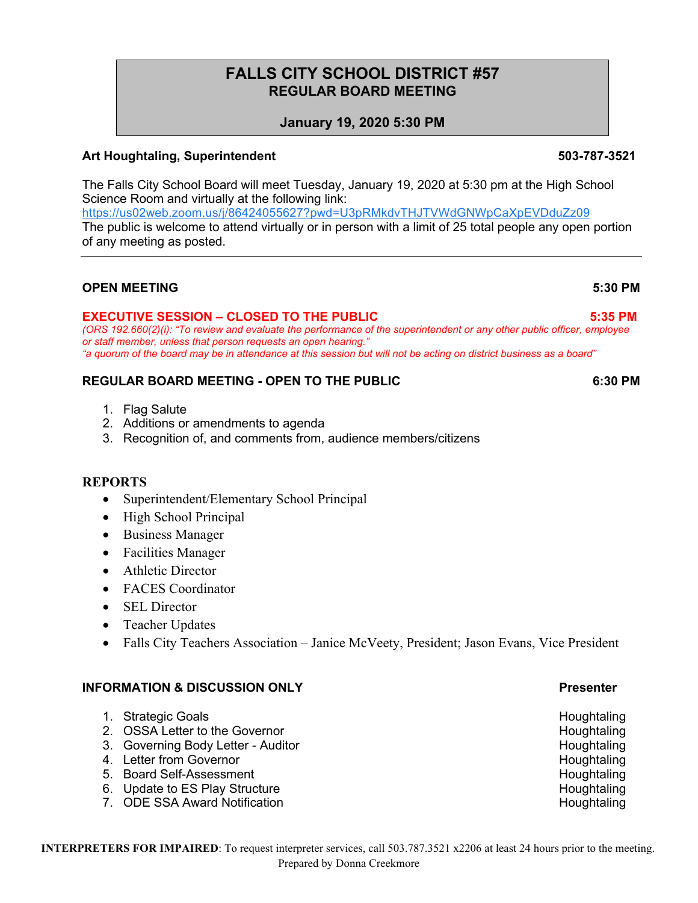# **FALLS CITY SCHOOL DISTRICT #57 REGULAR BOARD MEETING**

## **January 19, 2020 5:30 PM**

## **Art Houghtaling, Superintendent 503-787-3521**

The Falls City School Board will meet Tuesday, January 19, 2020 at 5:30 pm at the High School Science Room and virtually at the following link:

https://us02web.zoom.us/j/86424055627?pwd=U3pRMkdvTHJTVWdGNWpCaXpEVDduZz09

The public is welcome to attend virtually or in person with a limit of 25 total people any open portion of any meeting as posted.

## **OPEN MEETING 5:30 PM**

\*

## **EXECUTIVE SESSION – CLOSED TO THE PUBLIC 5:35 PM**

*(ORS 192.660(2)(i): "To review and evaluate the performance of the superintendent or any other public officer, employee or staff member, unless that person requests an open hearing." "a quorum of the board may be in attendance at this session but will not be acting on district business as a board"*

## **REGULAR BOARD MEETING - OPEN TO THE PUBLIC 6:30 PM**

- 1. Flag Salute
- 2. Additions or amendments to agenda
- 3. Recognition of, and comments from, audience members/citizens

## **REPORTS**

- Superintendent/Elementary School Principal
- High School Principal
- Business Manager
- Facilities Manager
- Athletic Director
- FACES Coordinator
- SEL Director
- Teacher Updates
- Falls City Teachers Association Janice McVeety, President; Jason Evans, Vice President

## **INFORMATION & DISCUSSION ONLY Presenter**

- 1. Strategic Goals **Houghtaling**
- 2. OSSA Letter to the Governor **Houghtaling Example 2.** All the Houghtaling
- 3. Governing Body Letter Auditor **Houghtaling** Houghtaling
- 4. Letter from Governor **Houghtaling**
- 5. Board Self-Assessment **Houghtaling** Self-Assessment
- 6. Update to ES Play Structure **Houghtaling** Superintensity and the Houghtaling Houghtaling
- 7. ODE SSA Award Notification **Houghtaling**

### **INTERPRETERS FOR IMPAIRED**: To request interpreter services, call 503.787.3521 x2206 at least 24 hours prior to the meeting. Prepared by Donna Creekmore